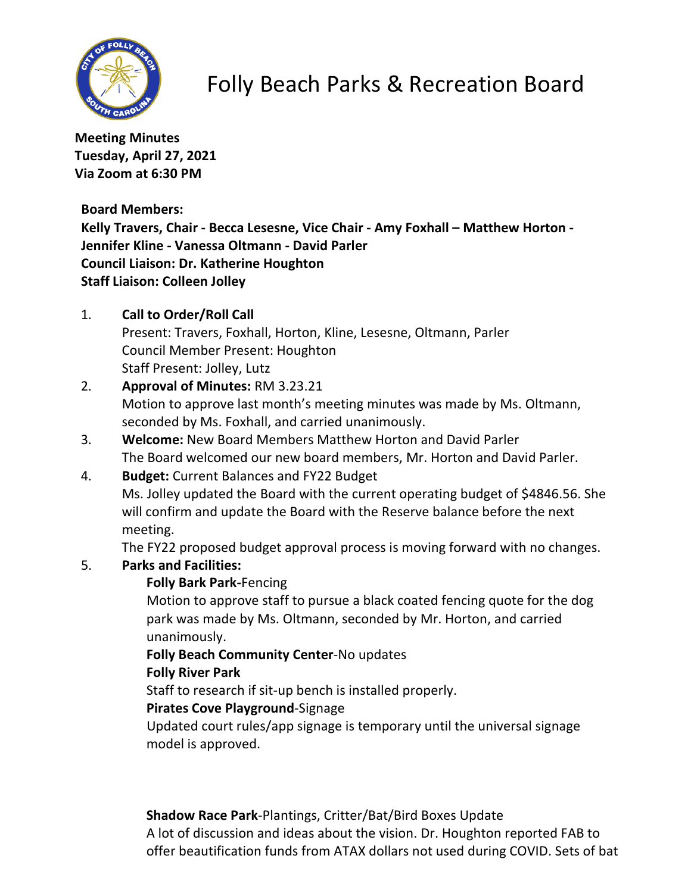

# Folly Beach Parks & Recreation Board

**Meeting Minutes Tuesday, April 27, 2021 Via Zoom at 6:30 PM**

**Board Members:**

**Kelly Travers, Chair - Becca Lesesne, Vice Chair - Amy Foxhall – Matthew Horton - Jennifer Kline - Vanessa Oltmann - David Parler Council Liaison: Dr. Katherine Houghton Staff Liaison: Colleen Jolley**

1. **Call to Order/Roll Call**

Present: Travers, Foxhall, Horton, Kline, Lesesne, Oltmann, Parler Council Member Present: Houghton Staff Present: Jolley, Lutz

- 2. **Approval of Minutes:** RM 3.23.21 Motion to approve last month's meeting minutes was made by Ms. Oltmann, seconded by Ms. Foxhall, and carried unanimously.
- 3. **Welcome:** New Board Members Matthew Horton and David Parler The Board welcomed our new board members, Mr. Horton and David Parler.
- 4. **Budget:** Current Balances and FY22 Budget Ms. Jolley updated the Board with the current operating budget of \$4846.56. She will confirm and update the Board with the Reserve balance before the next meeting.

The FY22 proposed budget approval process is moving forward with no changes.

## 5. **Parks and Facilities:**

### **Folly Bark Park-**Fencing

Motion to approve staff to pursue a black coated fencing quote for the dog park was made by Ms. Oltmann, seconded by Mr. Horton, and carried unanimously.

### **Folly Beach Community Center**-No updates

### **Folly River Park**

Staff to research if sit-up bench is installed properly.

### **Pirates Cove Playground**-Signage

Updated court rules/app signage is temporary until the universal signage model is approved.

**Shadow Race Park**-Plantings, Critter/Bat/Bird Boxes Update A lot of discussion and ideas about the vision. Dr. Houghton reported FAB to offer beautification funds from ATAX dollars not used during COVID. Sets of bat